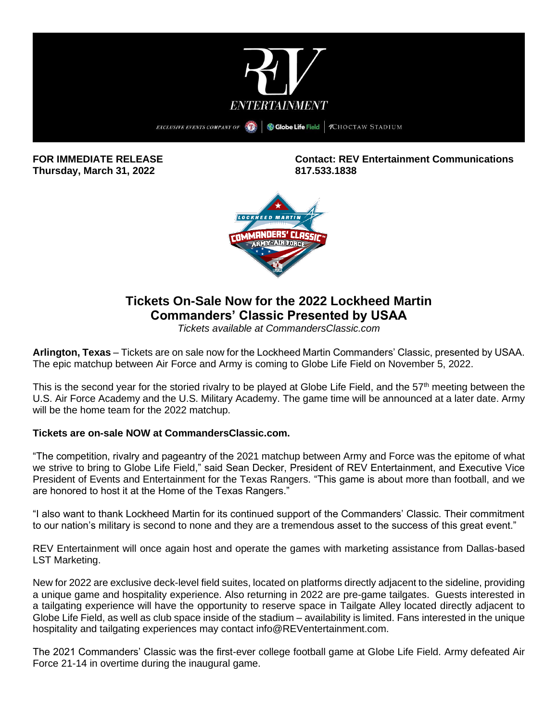

**Thursday, March 31, 2022 817.533.1838**

**FOR IMMEDIATE RELEASE Contact: REV Entertainment Communications**



# **Tickets On-Sale Now for the 2022 Lockheed Martin Commanders' Classic Presented by USAA**

*Tickets available at CommandersClassic.com*

**Arlington, Texas** – Tickets are on sale now for the Lockheed Martin Commanders' Classic, presented by USAA. The epic matchup between Air Force and Army is coming to Globe Life Field on November 5, 2022.

This is the second year for the storied rivalry to be played at Globe Life Field, and the 57<sup>th</sup> meeting between the U.S. Air Force Academy and the U.S. Military Academy. The game time will be announced at a later date. Army will be the home team for the 2022 matchup.

# **Tickets are on-sale NOW at CommandersClassic.com.**

"The competition, rivalry and pageantry of the 2021 matchup between Army and Force was the epitome of what we strive to bring to Globe Life Field," said Sean Decker, President of REV Entertainment, and Executive Vice President of Events and Entertainment for the Texas Rangers. "This game is about more than football, and we are honored to host it at the Home of the Texas Rangers."

"I also want to thank Lockheed Martin for its continued support of the Commanders' Classic. Their commitment to our nation's military is second to none and they are a tremendous asset to the success of this great event."

REV Entertainment will once again host and operate the games with marketing assistance from Dallas-based LST Marketing.

New for 2022 are exclusive deck-level field suites, located on platforms directly adjacent to the sideline, providing a unique game and hospitality experience. Also returning in 2022 are pre-game tailgates. Guests interested in a tailgating experience will have the opportunity to reserve space in Tailgate Alley located directly adjacent to Globe Life Field, as well as club space inside of the stadium – availability is limited. Fans interested in the unique hospitality and tailgating experiences may contact [info@REVentertainment.com.](mailto:info@REVentertainment.com)

The 2021 Commanders' Classic was the first-ever college football game at Globe Life Field. Army defeated Air Force 21-14 in overtime during the inaugural game.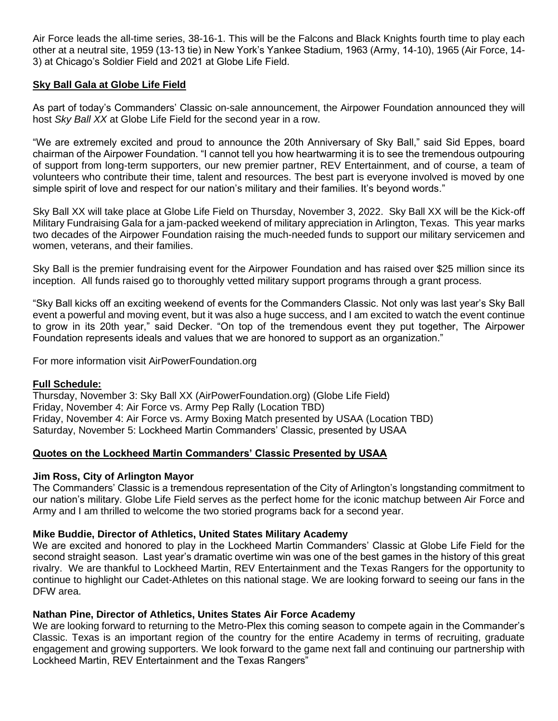Air Force leads the all-time series, 38-16-1. This will be the Falcons and Black Knights fourth time to play each other at a neutral site, 1959 (13-13 tie) in New York's Yankee Stadium, 1963 (Army, 14-10), 1965 (Air Force, 14- 3) at Chicago's Soldier Field and 2021 at Globe Life Field.

# **Sky Ball Gala at Globe Life Field**

As part of today's Commanders' Classic on-sale announcement, the Airpower Foundation announced they will host *Sky Ball XX* at Globe Life Field for the second year in a row.

"We are extremely excited and proud to announce the 20th Anniversary of Sky Ball," said Sid Eppes, board chairman of the Airpower Foundation. "I cannot tell you how heartwarming it is to see the tremendous outpouring of support from long-term supporters, our new premier partner, REV Entertainment, and of course, a team of volunteers who contribute their time, talent and resources. The best part is everyone involved is moved by one simple spirit of love and respect for our nation's military and their families. It's beyond words."

Sky Ball XX will take place at Globe Life Field on Thursday, November 3, 2022. Sky Ball XX will be the Kick-off Military Fundraising Gala for a jam-packed weekend of military appreciation in Arlington, Texas. This year marks two decades of the Airpower Foundation raising the much-needed funds to support our military servicemen and women, veterans, and their families.

Sky Ball is the premier fundraising event for the Airpower Foundation and has raised over \$25 million since its inception. All funds raised go to thoroughly vetted military support programs through a grant process.

"Sky Ball kicks off an exciting weekend of events for the Commanders Classic. Not only was last year's Sky Ball event a powerful and moving event, but it was also a huge success, and I am excited to watch the event continue to grow in its 20th year," said Decker. "On top of the tremendous event they put together, The Airpower Foundation represents ideals and values that we are honored to support as an organization."

For more information visit AirPowerFoundation.org

## **Full Schedule:**

Thursday, November 3: Sky Ball XX (AirPowerFoundation.org) (Globe Life Field) Friday, November 4: Air Force vs. Army Pep Rally (Location TBD) Friday, November 4: Air Force vs. Army Boxing Match presented by USAA (Location TBD) Saturday, November 5: Lockheed Martin Commanders' Classic, presented by USAA

# **Quotes on the Lockheed Martin Commanders' Classic Presented by USAA**

# **Jim Ross, City of Arlington Mayor**

The Commanders' Classic is a tremendous representation of the City of Arlington's longstanding commitment to our nation's military. Globe Life Field serves as the perfect home for the iconic matchup between Air Force and Army and I am thrilled to welcome the two storied programs back for a second year.

# **Mike Buddie, Director of Athletics, United States Military Academy**

We are excited and honored to play in the Lockheed Martin Commanders' Classic at Globe Life Field for the second straight season. Last year's dramatic overtime win was one of the best games in the history of this great rivalry. We are thankful to Lockheed Martin, REV Entertainment and the Texas Rangers for the opportunity to continue to highlight our Cadet-Athletes on this national stage. We are looking forward to seeing our fans in the DFW area.

# **Nathan Pine, Director of Athletics, Unites States Air Force Academy**

We are looking forward to returning to the Metro-Plex this coming season to compete again in the Commander's Classic. Texas is an important region of the country for the entire Academy in terms of recruiting, graduate engagement and growing supporters. We look forward to the game next fall and continuing our partnership with Lockheed Martin, REV Entertainment and the Texas Rangers"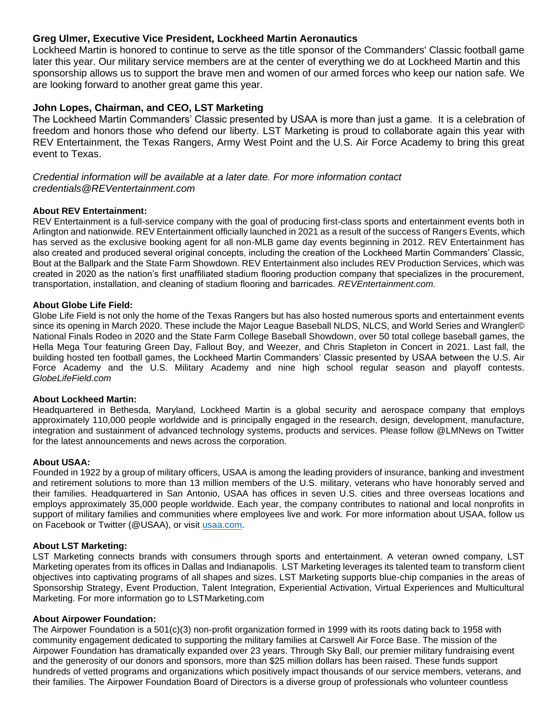## **Greg Ulmer, Executive Vice President, Lockheed Martin Aeronautics**

Lockheed Martin is honored to continue to serve as the title sponsor of the Commanders' Classic football game later this year. Our military service members are at the center of everything we do at Lockheed Martin and this sponsorship allows us to support the brave men and women of our armed forces who keep our nation safe. We are looking forward to another great game this year.

## **John Lopes, Chairman, and CEO, LST Marketing**

The Lockheed Martin Commanders' Classic presented by USAA is more than just a game. It is a celebration of freedom and honors those who defend our liberty. LST Marketing is proud to collaborate again this year with REV Entertainment, the Texas Rangers, Army West Point and the U.S. Air Force Academy to bring this great event to Texas.

## *Credential information will be available at a later date. For more information contact credentials@REVentertainment.com*

## **About REV Entertainment:**

REV Entertainment is a full-service company with the goal of producing first-class sports and entertainment events both in Arlington and nationwide. REV Entertainment officially launched in 2021 as a result of the success of Rangers Events, which has served as the exclusive booking agent for all non-MLB game day events beginning in 2012. REV Entertainment has also created and produced several original concepts, including the creation of the Lockheed Martin Commanders' Classic, Bout at the Ballpark and the State Farm Showdown. REV Entertainment also includes REV Production Services, which was created in 2020 as the nation's first unaffiliated stadium flooring production company that specializes in the procurement, transportation, installation, and cleaning of stadium flooring and barricades. *REVEntertainment.com.*

#### **About Globe Life Field:**

Globe Life Field is not only the home of the Texas Rangers but has also hosted numerous sports and entertainment events since its opening in March 2020. These include the Major League Baseball NLDS, NLCS, and World Series and Wrangler© National Finals Rodeo in 2020 and the State Farm College Baseball Showdown, over 50 total college baseball games, the Hella Mega Tour featuring Green Day, Fallout Boy, and Weezer, and Chris Stapleton in Concert in 2021. Last fall, the building hosted ten football games, the Lockheed Martin Commanders' Classic presented by USAA between the U.S. Air Force Academy and the U.S. Military Academy and nine high school regular season and playoff contests. *GlobeLifeField.com*

#### **About Lockheed Martin:**

Headquartered in Bethesda, Maryland, Lockheed Martin is a global security and aerospace company that employs approximately 110,000 people worldwide and is principally engaged in the research, design, development, manufacture, integration and sustainment of advanced technology systems, products and services. Please follow @LMNews on Twitter for the latest announcements and news across the corporation.

#### **About USAA:**

Founded in 1922 by a group of military officers, USAA is among the leading providers of insurance, banking and investment and retirement solutions to more than 13 million members of the U.S. military, veterans who have honorably served and their families. Headquartered in San Antonio, USAA has offices in seven U.S. cities and three overseas locations and employs approximately 35,000 people worldwide. Each year, the company contributes to national and local nonprofits in support of military families and communities where employees live and work. For more information about USAA, follow us on Facebook or Twitter (@USAA), or visit [usaa.com.](https://protect-us.mimecast.com/s/mcmcCpYR96tzkOB7CDUcnd?domain=usaa.com)

#### **About LST Marketing:**

LST Marketing connects brands with consumers through sports and entertainment. A veteran owned company, LST Marketing operates from its offices in Dallas and Indianapolis. LST Marketing leverages its talented team to transform client objectives into captivating programs of all shapes and sizes. LST Marketing supports blue-chip companies in the areas of Sponsorship Strategy, Event Production, Talent Integration, Experiential Activation, Virtual Experiences and Multicultural Marketing. For more information go to LSTMarketing.com

#### **About Airpower Foundation:**

The Airpower Foundation is a 501(c)(3) non-profit organization formed in 1999 with its roots dating back to 1958 with community engagement dedicated to supporting the military families at Carswell Air Force Base. The mission of the Airpower Foundation has dramatically expanded over 23 years. Through Sky Ball, our premier military fundraising event and the generosity of our donors and sponsors, more than \$25 million dollars has been raised. These funds support hundreds of vetted programs and organizations which positively impact thousands of our service members, veterans, and their families. The Airpower Foundation Board of Directors is a diverse group of professionals who volunteer countless